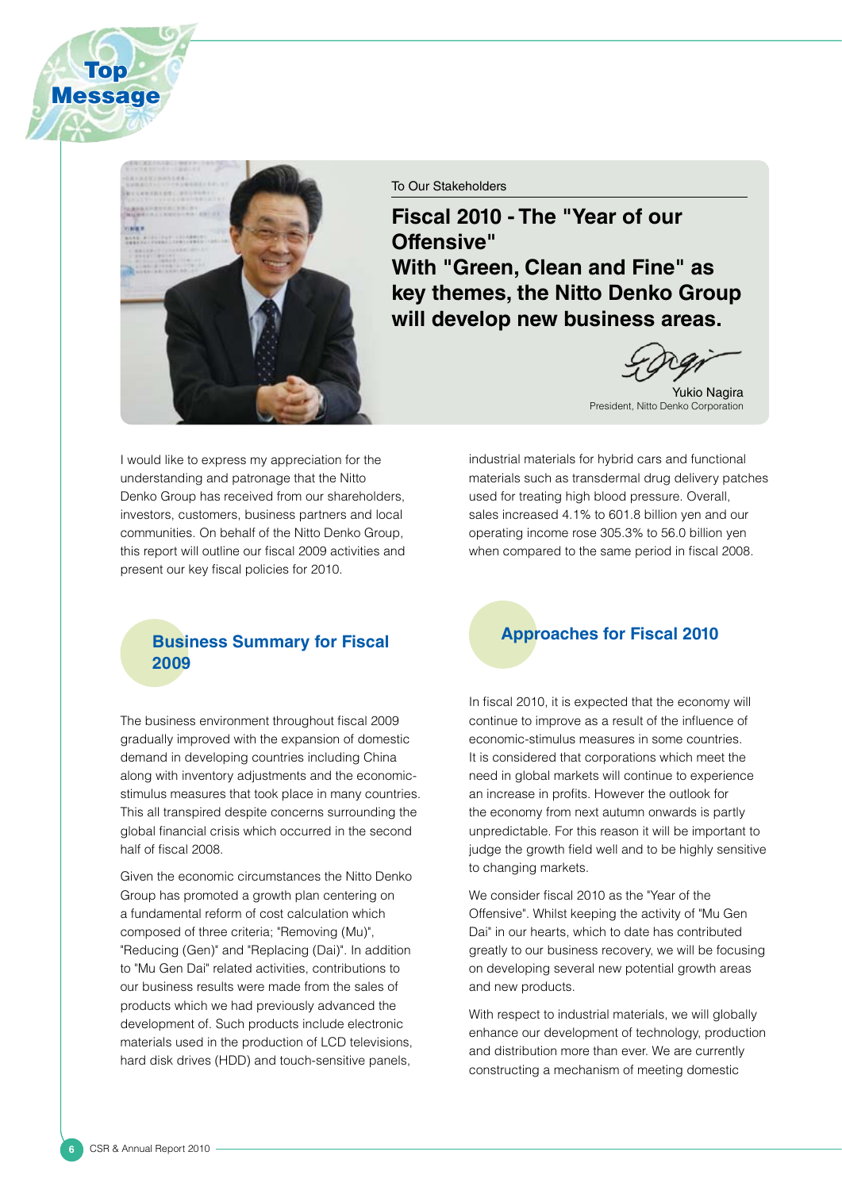

**Top Message** 

#### To Our Stakeholders

**Fiscal 2010 - The "Year of our Offensive" With "Green, Clean and Fine" as key themes, the Nitto Denko Group will develop new business areas.**

Yukio Nagira President, Nitto Denko Corporation

I would like to express my appreciation for the understanding and patronage that the Nitto Denko Group has received from our shareholders, investors, customers, business partners and local communities. On behalf of the Nitto Denko Group, this report will outline our fiscal 2009 activities and present our key fiscal policies for 2010.

#### **Business Summary for Fiscal 2009**

The business environment throughout fiscal 2009 gradually improved with the expansion of domestic demand in developing countries including China along with inventory adjustments and the economicstimulus measures that took place in many countries. This all transpired despite concerns surrounding the global financial crisis which occurred in the second half of fiscal 2008.

Given the economic circumstances the Nitto Denko Group has promoted a growth plan centering on a fundamental reform of cost calculation which composed of three criteria; "Removing (Mu)", "Reducing (Gen)" and "Replacing (Dai)". In addition to "Mu Gen Dai" related activities, contributions to our business results were made from the sales of products which we had previously advanced the development of. Such products include electronic materials used in the production of LCD televisions, hard disk drives (HDD) and touch-sensitive panels,

industrial materials for hybrid cars and functional materials such as transdermal drug delivery patches used for treating high blood pressure. Overall, sales increased 4.1% to 601.8 billion yen and our operating income rose 305.3% to 56.0 billion yen when compared to the same period in fiscal 2008.

### **Approaches for Fiscal 2010**

In fiscal 2010, it is expected that the economy will continue to improve as a result of the influence of economic-stimulus measures in some countries. It is considered that corporations which meet the need in global markets will continue to experience an increase in profits. However the outlook for the economy from next autumn onwards is partly unpredictable. For this reason it will be important to judge the growth field well and to be highly sensitive to changing markets.

We consider fiscal 2010 as the "Year of the Offensive". Whilst keeping the activity of "Mu Gen Dai" in our hearts, which to date has contributed greatly to our business recovery, we will be focusing on developing several new potential growth areas and new products.

With respect to industrial materials, we will globally enhance our development of technology, production and distribution more than ever. We are currently constructing a mechanism of meeting domestic